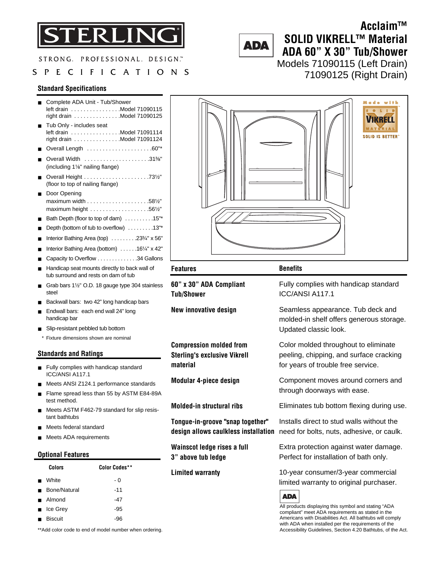

STRONG. PROFESSIONAL. DESIGN."

### SPECIFICATIONS

#### **Standard Specifications**

|             | Complete ADA Unit - Tub/Shower<br>left drain Model 71090115<br>right drain Model 71090125<br>Tub Only - includes seat<br>left drain Model 71091114<br>right drain Model 71091124<br>Overall Length 60"*<br>Overall Width 31%"<br>(including 1%" nailing flange)                                                                                                                                         |                                       |
|-------------|---------------------------------------------------------------------------------------------------------------------------------------------------------------------------------------------------------------------------------------------------------------------------------------------------------------------------------------------------------------------------------------------------------|---------------------------------------|
| ■<br>■      | (floor to top of nailing flange)<br>Door Opening<br>maximum width $\dots\dots\dots\dots\dots\dots.58\frac{1}{2}$<br>maximum height $\ldots \ldots \ldots \ldots \ldots \ldots$ .561/2"<br>Bath Depth (floor to top of dam) 15"*<br>Depth (bottom of tub to overflow) 13"*<br>Interior Bathing Area (top) 233/4" x 56"<br>Interior Bathing Area (bottom) 161/4" x 42"<br>Capacity to Overflow 34 Gallons |                                       |
|             | Handicap seat mounts directly to back wall of<br>tub surround and rests on dam of tub                                                                                                                                                                                                                                                                                                                   | <b>Features</b>                       |
| ■<br>■<br>■ | Grab bars 1 <sup>1/2"</sup> O.D. 18 gauge type 304 stainless<br>steel<br>Backwall bars: two 42" long handicap bars<br>Endwall bars: each end wall 24" long<br>handicap bar                                                                                                                                                                                                                              | $60"$ x $30"$<br>Tub/Shov<br>New inno |
|             | Slip-resistant pebbled tub bottom                                                                                                                                                                                                                                                                                                                                                                       |                                       |

\* Fixture dimensions shown are nominal

#### **Standards and Ratings**

- Fully complies with handicap standard ICC/ANSI A117.1
- Meets ANSI Z124.1 performance standards
- Flame spread less than 55 by ASTM E84-89A test method.
- Meets ASTM F462-79 standard for slip resistant bathtubs
- Meets federal standard
- Meets ADA requirements

#### **Optional Features**

|                | Colors                  | <b>Color Codes**</b> |
|----------------|-------------------------|----------------------|
| $\blacksquare$ | White                   | - 0                  |
| $\blacksquare$ | Bone/Natural            | $-11$                |
|                | ■ Almond                | -47                  |
|                | $\blacksquare$ Ice Grey | -95                  |
| $\blacksquare$ | <b>Biscuit</b>          | -96                  |

with **SOLID IS BETTER** 

**Benefits**

**60" x 30" ADA Compliant Tub/Shower**

**New innovative design**

**Compression molded from Sterling's exclusive Vikrell material**

**Modular 4-piece design**

**Molded-in structural ribs**

**Tongue-in-groove "snap together"**

**Wainscot ledge rises a full 3" above tub ledge**

#### **Limited warranty**

Fully complies with handicap standard ICC/ANSI A117.1

Seamless appearance. Tub deck and molded-in shelf offers generous storage. Updated classic look.

Color molded throughout to eliminate peeling, chipping, and surface cracking for years of trouble free service.

Component moves around corners and through doorways with ease.

Eliminates tub bottom flexing during use.

**design allows caulkless installation**  need for bolts, nuts, adhesive, or caulk. Installs direct to stud walls without the

> Extra protection against water damage. Perfect for installation of bath only.

10-year consumer/3-year commercial limited warranty to original purchaser.

#### **ADA**

All products displaying this symbol and stating "ADA compliant" meet ADA requirements as stated in the Americans with Disabilities Act. All bathtubs will comply with ADA when installed per the requirements of the Accessibility Guidelines, Section 4.20 Bathtubs, of the Act.

\*\*Add color code to end of model number when ordering.

# **ADA**

## **SOLID VIKRELL™ Material ADA 60" X 30" Tub/Shower**  Models 71090115 (Left Drain)

71090125 (Right Drain)

**Acclaim™**